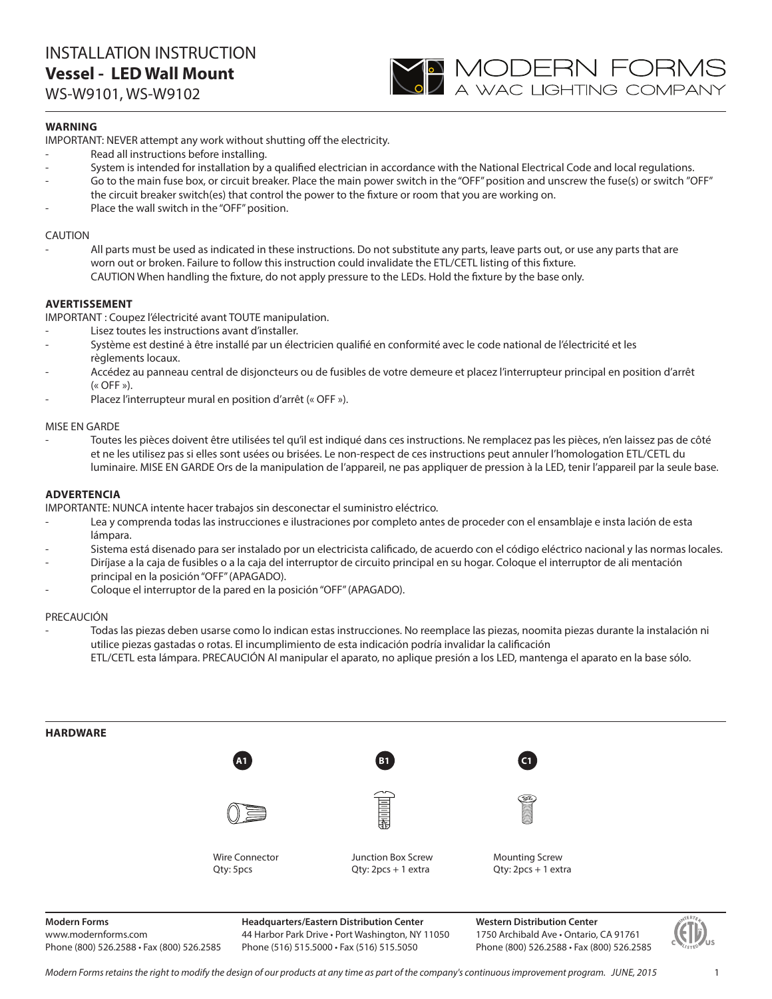

## **WARNING**

IMPORTANT: NEVER attempt any work without shutting off the electricity.

- Read all instructions before installing.
- System is intended for installation by a qualified electrician in accordance with the National Electrical Code and local regulations.
- Go to the main fuse box, or circuit breaker. Place the main power switch in the "OFF" position and unscrew the fuse(s) or switch "OFF" the circuit breaker switch(es) that control the power to the fixture or room that you are working on.
- Place the wall switch in the "OFF" position.

### CAUTION

All parts must be used as indicated in these instructions. Do not substitute any parts, leave parts out, or use any parts that are worn out or broken. Failure to follow this instruction could invalidate the ETL/CETL listing of this fixture. CAUTION When handling the fixture, do not apply pressure to the LEDs. Hold the fixture by the base only.

### **AVERTISSEMENT**

IMPORTANT : Coupez l'électricité avant TOUTE manipulation.

- Lisez toutes les instructions avant d'installer.
- Système est destiné à être installé par un électricien qualifié en conformité avec le code national de l'électricité et les règlements locaux.
- Accédez au panneau central de disjoncteurs ou de fusibles de votre demeure et placez l'interrupteur principal en position d'arrêt  $(\kappa$  OFF »).
- Placez l'interrupteur mural en position d'arrêt (« OFF »).

### MISE EN GARDE

- Toutes les pièces doivent être utilisées tel qu'il est indiqué dans ces instructions. Ne remplacez pas les pièces, n'en laissez pas de côté et ne les utilisez pas si elles sont usées ou brisées. Le non-respect de ces instructions peut annuler l'homologation ETL/CETL du luminaire. MISE EN GARDE Ors de la manipulation de l'appareil, ne pas appliquer de pression à la LED, tenir l'appareil par la seule base.

### **ADVERTENCIA**

IMPORTANTE: NUNCA intente hacer trabajos sin desconectar el suministro eléctrico.

- Lea y comprenda todas las instrucciones e ilustraciones por completo antes de proceder con el ensamblaje e insta lación de esta lámpara.
- Sistema está disenado para ser instalado por un electricista calificado, de acuerdo con el código eléctrico nacional y las normas locales.
- Diríjase a la caja de fusibles o a la caja del interruptor de circuito principal en su hogar. Coloque el interruptor de ali mentación principal en la posición "OFF" (APAGADO).
- Coloque el interruptor de la pared en la posición "OFF" (APAGADO).

#### PRECAUCIÓN

- Todas las piezas deben usarse como lo indican estas instrucciones. No reemplace las piezas, noomita piezas durante la instalación ni utilice piezas gastadas o rotas. El incumplimiento de esta indicación podría invalidar la calificación ETL/CETL esta lámpara. PRECAUCIÓN Al manipular el aparato, no aplique presión a los LED, mantenga el aparato en la base sólo.



**Modern Forms**

www.modernforms.com Phone (800) 526.2588 • Fax (800) 526.2585 **Headquarters/Eastern Distribution Center** 44 Harbor Park Drive • Port Washington, NY 11050 Phone (516) 515.5000 • Fax (516) 515.5050

**Western Distribution Center**  1750 Archibald Ave • Ontario, CA 91761 Phone (800) 526.2588 • Fax (800) 526.2585



*Modern Forms retains the right to modify the design of our products at any time as part of the company's continuous improvement program. JUNE, 2015*